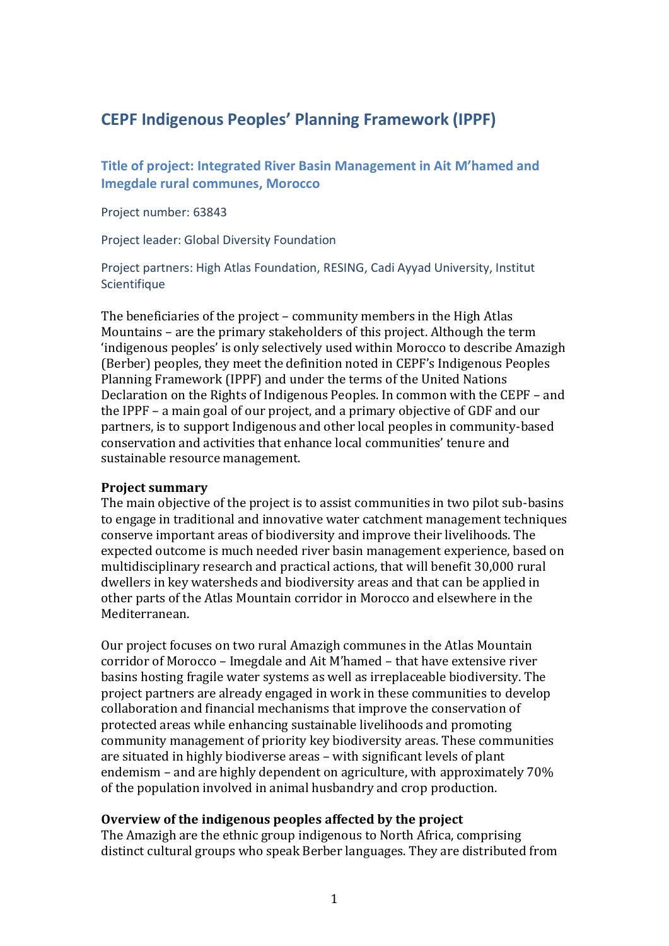# **CEPF Indigenous Peoples' Planning Framework (IPPF)**

**Title of project: Integrated River Basin Management in Ait M'hamed and Imegdale rural communes, Morocco**

Project number: 63843

Project leader: Global Diversity Foundation

Project partners: High Atlas Foundation, RESING, Cadi Ayyad University, Institut **Scientifique** 

The beneficiaries of the project – community members in the High Atlas Mountains – are the primary stakeholders of this project. Although the term 'indigenous peoples' is only selectively used within Morocco to describe Amazigh (Berber) peoples, they meet the definition noted in CEPF's Indigenous Peoples Planning Framework (IPPF) and under the terms of the United Nations Declaration on the Rights of Indigenous Peoples. In common with the CEPF – and the IPPF – a main goal of our project, and a primary objective of GDF and our partners, is to support Indigenous and other local peoples in community-based conservation and activities that enhance local communities' tenure and sustainable resource management.

#### **Project summary**

The main objective of the project is to assist communities in two pilot sub-basins to engage in traditional and innovative water catchment management techniques conserve important areas of biodiversity and improve their livelihoods. The expected outcome is much needed river basin management experience, based on multidisciplinary research and practical actions, that will benefit 30,000 rural dwellers in key watersheds and biodiversity areas and that can be applied in other parts of the Atlas Mountain corridor in Morocco and elsewhere in the Mediterranean.

Our project focuses on two rural Amazigh communes in the Atlas Mountain corridor of Morocco – Imegdale and Ait M'hamed – that have extensive river basins hosting fragile water systems as well as irreplaceable biodiversity. The project partners are already engaged in work in these communities to develop collaboration and financial mechanisms that improve the conservation of protected areas while enhancing sustainable livelihoods and promoting community management of priority key biodiversity areas. These communities are situated in highly biodiverse areas – with significant levels of plant endemism – and are highly dependent on agriculture, with approximately 70% of the population involved in animal husbandry and crop production.

# **Overview of the indigenous peoples affected by the project**

The Amazigh are the ethnic group indigenous to North Africa, comprising distinct cultural groups who speak Berber languages. They are distributed from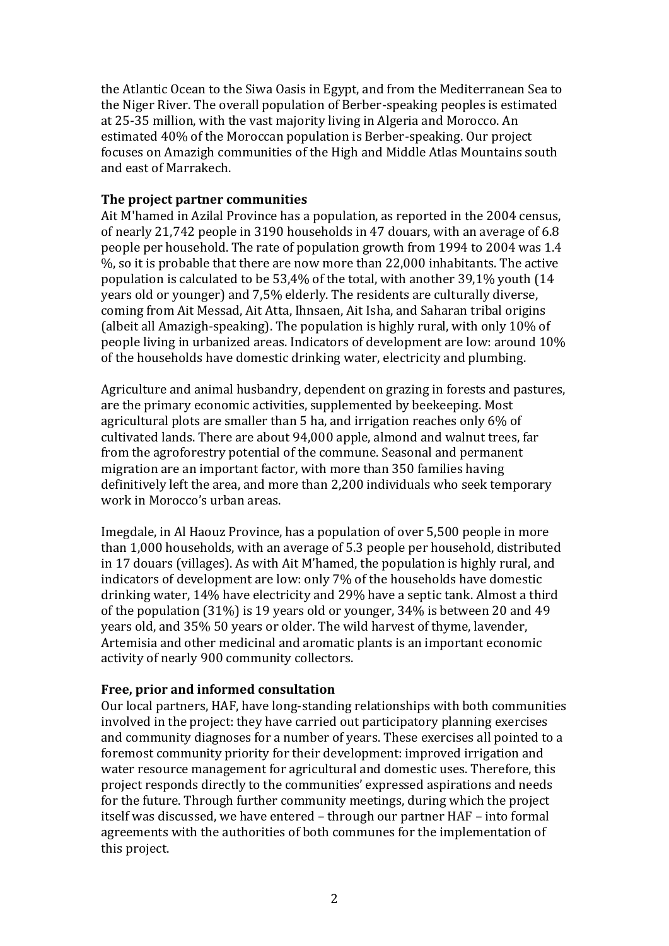the Atlantic Ocean to the Siwa Oasis in Egypt, and from the Mediterranean Sea to the Niger River. The overall population of Berber-speaking peoples is estimated at 25-35 million, with the vast majority living in Algeria and Morocco. An estimated 40% of the Moroccan population is Berber-speaking. Our project focuses on Amazigh communities of the High and Middle Atlas Mountains south and east of Marrakech.

### **The project partner communities**

Ait M'hamed in Azilal Province has a population, as reported in the 2004 census, of nearly 21,742 people in 3190 households in 47 douars, with an average of 6.8 people per household. The rate of population growth from 1994 to 2004 was 1.4 %, so it is probable that there are now more than 22,000 inhabitants. The active population is calculated to be 53,4% of the total, with another 39,1% youth (14 years old or younger) and 7,5% elderly. The residents are culturally diverse, coming from Ait Messad, Ait Atta, Ihnsaen, Ait Isha, and Saharan tribal origins (albeit all Amazigh-speaking). The population is highly rural, with only 10% of people living in urbanized areas. Indicators of development are low: around 10% of the households have domestic drinking water, electricity and plumbing.

Agriculture and animal husbandry, dependent on grazing in forests and pastures, are the primary economic activities, supplemented by beekeeping. Most agricultural plots are smaller than 5 ha, and irrigation reaches only 6% of cultivated lands. There are about 94,000 apple, almond and walnut trees, far from the agroforestry potential of the commune. Seasonal and permanent migration are an important factor, with more than 350 families having definitively left the area, and more than 2,200 individuals who seek temporary work in Morocco's urban areas.

Imegdale, in Al Haouz Province, has a population of over 5,500 people in more than 1,000 households, with an average of 5.3 people per household, distributed in 17 douars (villages). As with Ait M'hamed, the population is highly rural, and indicators of development are low: only 7% of the households have domestic drinking water, 14% have electricity and 29% have a septic tank. Almost a third of the population (31%) is 19 years old or younger, 34% is between 20 and 49 years old, and 35% 50 years or older. The wild harvest of thyme, lavender, Artemisia and other medicinal and aromatic plants is an important economic activity of nearly 900 community collectors.

#### **Free, prior and informed consultation**

Our local partners, HAF, have long-standing relationships with both communities involved in the project: they have carried out participatory planning exercises and community diagnoses for a number of years. These exercises all pointed to a foremost community priority for their development: improved irrigation and water resource management for agricultural and domestic uses. Therefore, this project responds directly to the communities' expressed aspirations and needs for the future. Through further community meetings, during which the project itself was discussed, we have entered – through our partner HAF – into formal agreements with the authorities of both communes for the implementation of this project.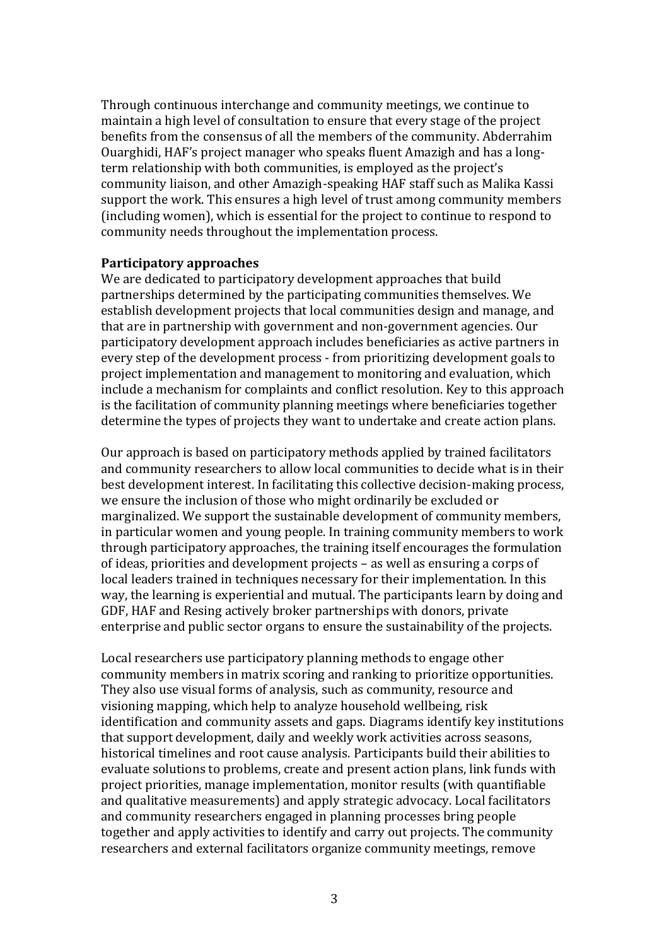Through continuous interchange and community meetings, we continue to maintain a high level of consultation to ensure that every stage of the project benefits from the consensus of all the members of the community. Abderrahim Ouarghidi, HAF's project manager who speaks fluent Amazigh and has a longterm relationship with both communities, is employed as the project's community liaison, and other Amazigh-speaking HAF staff such as Malika Kassi support the work. This ensures a high level of trust among community members (including women), which is essential for the project to continue to respond to community needs throughout the implementation process.

#### **Participatory approaches**

We are dedicated to participatory development approaches that build partnerships determined by the participating communities themselves. We establish development projects that local communities design and manage, and that are in partnership with government and non-government agencies. Our participatory development approach includes beneficiaries as active partners in every step of the development process - from prioritizing development goals to project implementation and management to monitoring and evaluation, which include a mechanism for complaints and conflict resolution. Key to this approach is the facilitation of community planning meetings where beneficiaries together determine the types of projects they want to undertake and create action plans.

Our approach is based on participatory methods applied by trained facilitators and community researchers to allow local communities to decide what is in their best development interest. In facilitating this collective decision-making process, we ensure the inclusion of those who might ordinarily be excluded or marginalized. We support the sustainable development of community members, in particular women and young people. In training community members to work through participatory approaches, the training itself encourages the formulation of ideas, priorities and development projects – as well as ensuring a corps of local leaders trained in techniques necessary for their implementation. In this way, the learning is experiential and mutual. The participants learn by doing and GDF, HAF and Resing actively broker partnerships with donors, private enterprise and public sector organs to ensure the sustainability of the projects.

Local researchers use participatory planning methods to engage other community members in matrix scoring and ranking to prioritize opportunities. They also use visual forms of analysis, such as community, resource and visioning mapping, which help to analyze household wellbeing, risk identification and community assets and gaps. Diagrams identify key institutions that support development, daily and weekly work activities across seasons, historical timelines and root cause analysis. Participants build their abilities to evaluate solutions to problems, create and present action plans, link funds with project priorities, manage implementation, monitor results (with quantifiable and qualitative measurements) and apply strategic advocacy. Local facilitators and community researchers engaged in planning processes bring people together and apply activities to identify and carry out projects. The community researchers and external facilitators organize community meetings, remove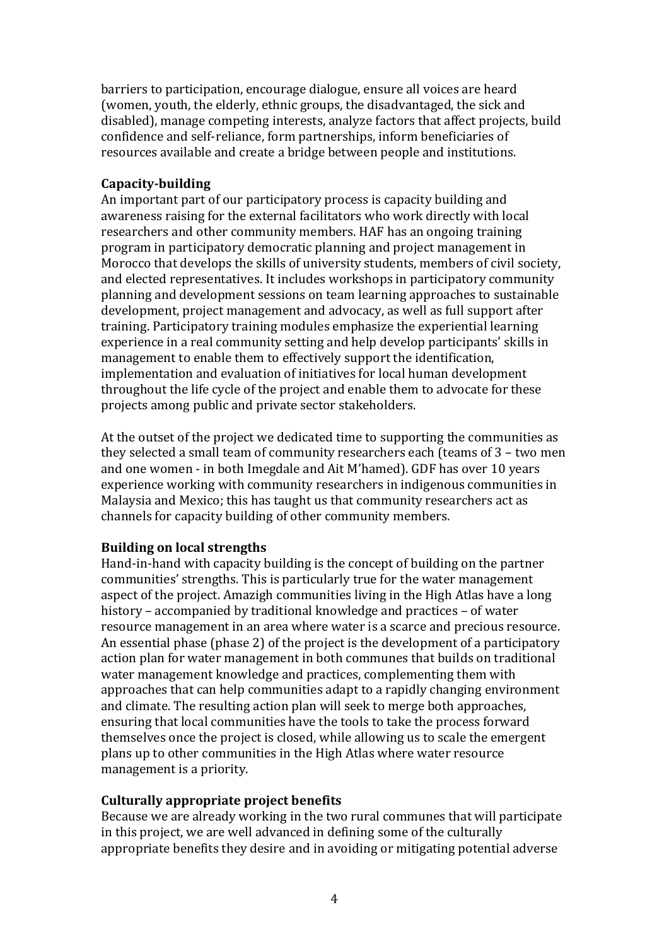barriers to participation, encourage dialogue, ensure all voices are heard (women, youth, the elderly, ethnic groups, the disadvantaged, the sick and disabled), manage competing interests, analyze factors that affect projects, build confidence and self-reliance, form partnerships, inform beneficiaries of resources available and create a bridge between people and institutions.

# **Capacity-building**

An important part of our participatory process is capacity building and awareness raising for the external facilitators who work directly with local researchers and other community members. HAF has an ongoing training program in participatory democratic planning and project management in Morocco that develops the skills of university students, members of civil society, and elected representatives. It includes workshops in participatory community planning and development sessions on team learning approaches to sustainable development, project management and advocacy, as well as full support after training. Participatory training modules emphasize the experiential learning experience in a real community setting and help develop participants' skills in management to enable them to effectively support the identification, implementation and evaluation of initiatives for local human development throughout the life cycle of the project and enable them to advocate for these projects among public and private sector stakeholders.

At the outset of the project we dedicated time to supporting the communities as they selected a small team of community researchers each (teams of 3 – two men and one women - in both Imegdale and Ait M'hamed). GDF has over 10 years experience working with community researchers in indigenous communities in Malaysia and Mexico; this has taught us that community researchers act as channels for capacity building of other community members.

# **Building on local strengths**

Hand-in-hand with capacity building is the concept of building on the partner communities' strengths. This is particularly true for the water management aspect of the project. Amazigh communities living in the High Atlas have a long history – accompanied by traditional knowledge and practices – of water resource management in an area where water is a scarce and precious resource. An essential phase (phase 2) of the project is the development of a participatory action plan for water management in both communes that builds on traditional water management knowledge and practices, complementing them with approaches that can help communities adapt to a rapidly changing environment and climate. The resulting action plan will seek to merge both approaches, ensuring that local communities have the tools to take the process forward themselves once the project is closed, while allowing us to scale the emergent plans up to other communities in the High Atlas where water resource management is a priority.

# **Culturally appropriate project benefits**

Because we are already working in the two rural communes that will participate in this project, we are well advanced in defining some of the culturally appropriate benefits they desire and in avoiding or mitigating potential adverse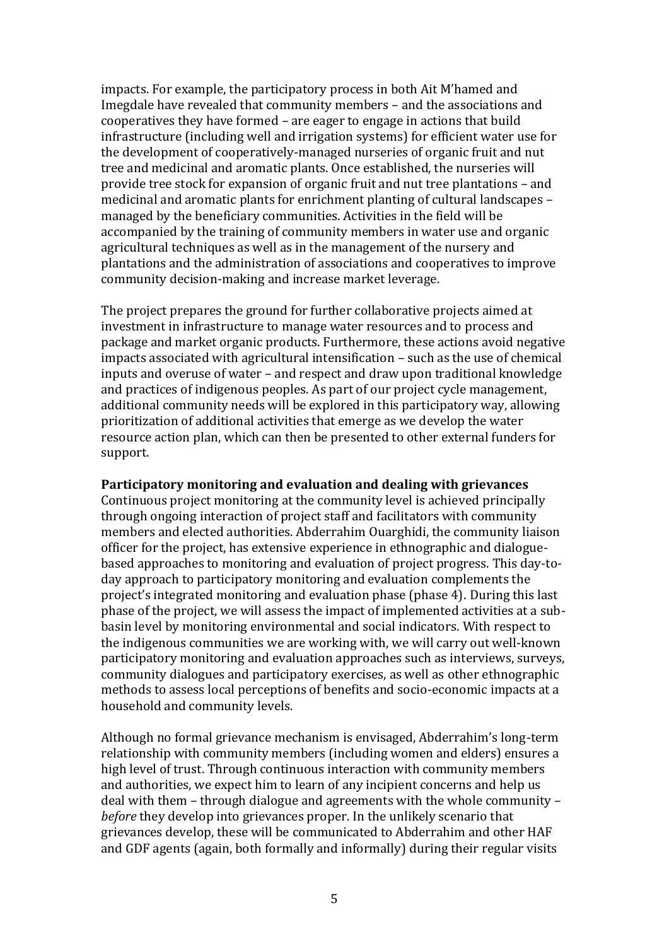impacts. For example, the participatory process in both Ait M'hamed and Imegdale have revealed that community members – and the associations and cooperatives they have formed – are eager to engage in actions that build infrastructure (including well and irrigation systems) for efficient water use for the development of cooperatively-managed nurseries of organic fruit and nut tree and medicinal and aromatic plants. Once established, the nurseries will provide tree stock for expansion of organic fruit and nut tree plantations – and medicinal and aromatic plants for enrichment planting of cultural landscapes – managed by the beneficiary communities. Activities in the field will be accompanied by the training of community members in water use and organic agricultural techniques as well as in the management of the nursery and plantations and the administration of associations and cooperatives to improve community decision-making and increase market leverage.

The project prepares the ground for further collaborative projects aimed at investment in infrastructure to manage water resources and to process and package and market organic products. Furthermore, these actions avoid negative impacts associated with agricultural intensification – such as the use of chemical inputs and overuse of water – and respect and draw upon traditional knowledge and practices of indigenous peoples. As part of our project cycle management, additional community needs will be explored in this participatory way, allowing prioritization of additional activities that emerge as we develop the water resource action plan, which can then be presented to other external funders for support.

#### **Participatory monitoring and evaluation and dealing with grievances**

Continuous project monitoring at the community level is achieved principally through ongoing interaction of project staff and facilitators with community members and elected authorities. Abderrahim Ouarghidi, the community liaison officer for the project, has extensive experience in ethnographic and dialoguebased approaches to monitoring and evaluation of project progress. This day-today approach to participatory monitoring and evaluation complements the project's integrated monitoring and evaluation phase (phase 4). During this last phase of the project, we will assess the impact of implemented activities at a subbasin level by monitoring environmental and social indicators. With respect to the indigenous communities we are working with, we will carry out well-known participatory monitoring and evaluation approaches such as interviews, surveys, community dialogues and participatory exercises, as well as other ethnographic methods to assess local perceptions of benefits and socio-economic impacts at a household and community levels.

Although no formal grievance mechanism is envisaged, Abderrahim's long-term relationship with community members (including women and elders) ensures a high level of trust. Through continuous interaction with community members and authorities, we expect him to learn of any incipient concerns and help us deal with them – through dialogue and agreements with the whole community – *before* they develop into grievances proper. In the unlikely scenario that grievances develop, these will be communicated to Abderrahim and other HAF and GDF agents (again, both formally and informally) during their regular visits